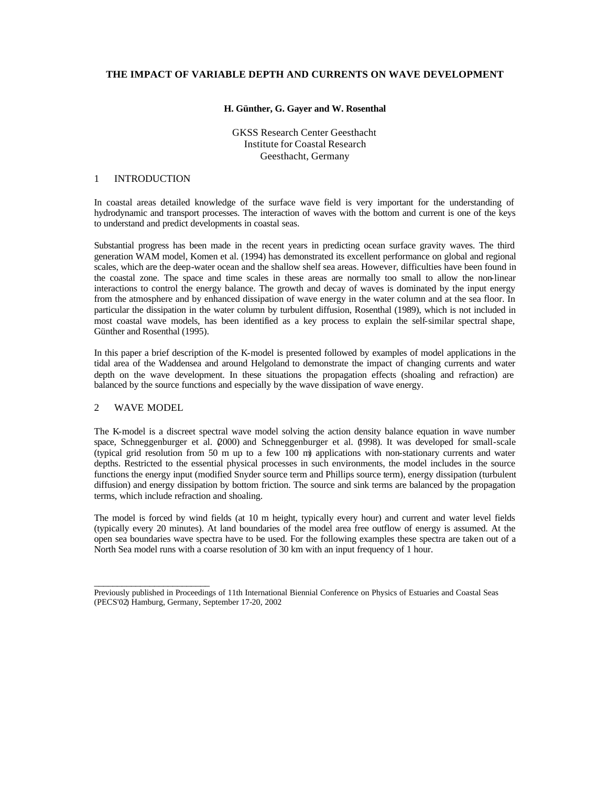# **THE IMPACT OF VARIABLE DEPTH AND CURRENTS ON WAVE DEVELOPMENT**

### **H. Günther, G. Gayer and W. Rosenthal**

GKSS Research Center Geesthacht Institute for Coastal Research Geesthacht, Germany

## 1 INTRODUCTION

In coastal areas detailed knowledge of the surface wave field is very important for the understanding of hydrodynamic and transport processes. The interaction of waves with the bottom and current is one of the keys to understand and predict developments in coastal seas.

Substantial progress has been made in the recent years in predicting ocean surface gravity waves. The third generation WAM model, Komen et al. (1994) has demonstrated its excellent performance on global and regional scales, which are the deep-water ocean and the shallow shelf sea areas. However, difficulties have been found in the coastal zone. The space and time scales in these areas are normally too small to allow the non-linear interactions to control the energy balance. The growth and decay of waves is dominated by the input energy from the atmosphere and by enhanced dissipation of wave energy in the water column and at the sea floor. In particular the dissipation in the water column by turbulent diffusion, Rosenthal (1989), which is not included in most coastal wave models, has been identified as a key process to explain the self-similar spectral shape, Günther and Rosenthal (1995).

In this paper a brief description of the K-model is presented followed by examples of model applications in the tidal area of the Waddensea and around Helgoland to demonstrate the impact of changing currents and water depth on the wave development. In these situations the propagation effects (shoaling and refraction) are balanced by the source functions and especially by the wave dissipation of wave energy.

# 2 WAVE MODEL

\_\_\_\_\_\_\_\_\_\_\_\_\_\_\_\_\_\_\_\_\_\_\_\_\_

The K-model is a discreet spectral wave model solving the action density balance equation in wave number space, Schneggenburger et al. (2000) and Schneggenburger et al. (1998). It was developed for small-scale (typical grid resolution from 50 m up to a few 100 m) applications with non-stationary currents and water depths. Restricted to the essential physical processes in such environments, the model includes in the source functions the energy input (modified Snyder source term and Phillips source term), energy dissipation (turbulent diffusion) and energy dissipation by bottom friction. The source and sink terms are balanced by the propagation terms, which include refraction and shoaling.

The model is forced by wind fields (at 10 m height, typically every hour) and current and water level fields (typically every 20 minutes). At land boundaries of the model area free outflow of energy is assumed. At the open sea boundaries wave spectra have to be used. For the following examples these spectra are taken out of a North Sea model runs with a coarse resolution of 30 km with an input frequency of 1 hour.

Previously published in Proceedings of 11th International Biennial Conference on Physics of Estuaries and Coastal Seas (PECS'02) Hamburg, Germany, September 17-20, 2002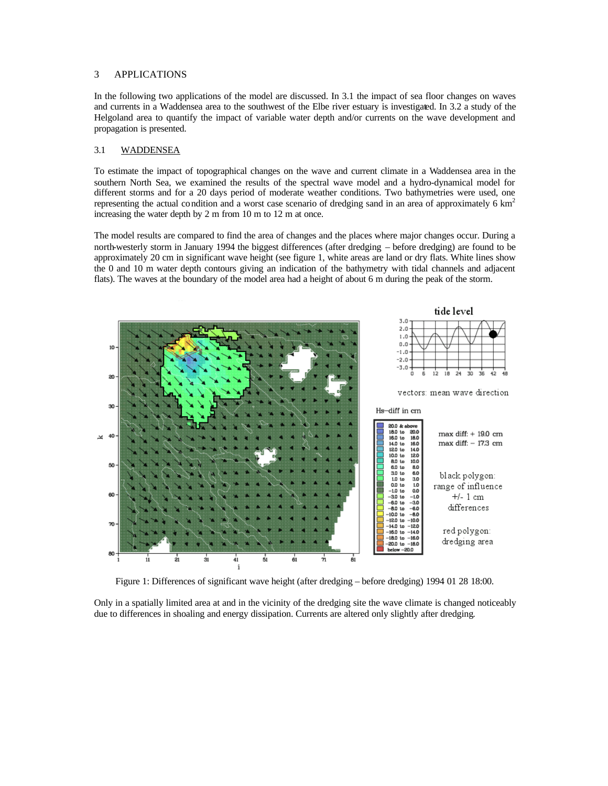#### 3 APPLICATIONS

In the following two applications of the model are discussed. In 3.1 the impact of sea floor changes on waves and currents in a Waddensea area to the southwest of the Elbe river estuary is investigated. In 3.2 a study of the Helgoland area to quantify the impact of variable water depth and/or currents on the wave development and propagation is presented.

#### 3.1 WADDENSEA

To estimate the impact of topographical changes on the wave and current climate in a Waddensea area in the southern North Sea, we examined the results of the spectral wave model and a hydro-dynamical model for different storms and for a 20 days period of moderate weather conditions. Two bathymetries were used, one representing the actual condition and a worst case scenario of dredging sand in an area of approximately 6 km<sup>2</sup> increasing the water depth by 2 m from 10 m to 12 m at once.

The model results are compared to find the area of changes and the places where major changes occur. During a north-westerly storm in January 1994 the biggest differences (after dredging – before dredging) are found to be approximately 20 cm in significant wave height (see figure 1, white areas are land or dry flats. White lines show the 0 and 10 m water depth contours giving an indication of the bathymetry with tidal channels and adjacent flats). The waves at the boundary of the model area had a height of about 6 m during the peak of the storm.



Figure 1: Differences of significant wave height (after dredging – before dredging) 1994 01 28 18:00.

Only in a spatially limited area at and in the vicinity of the dredging site the wave climate is changed noticeably due to differences in shoaling and energy dissipation. Currents are altered only slightly after dredging.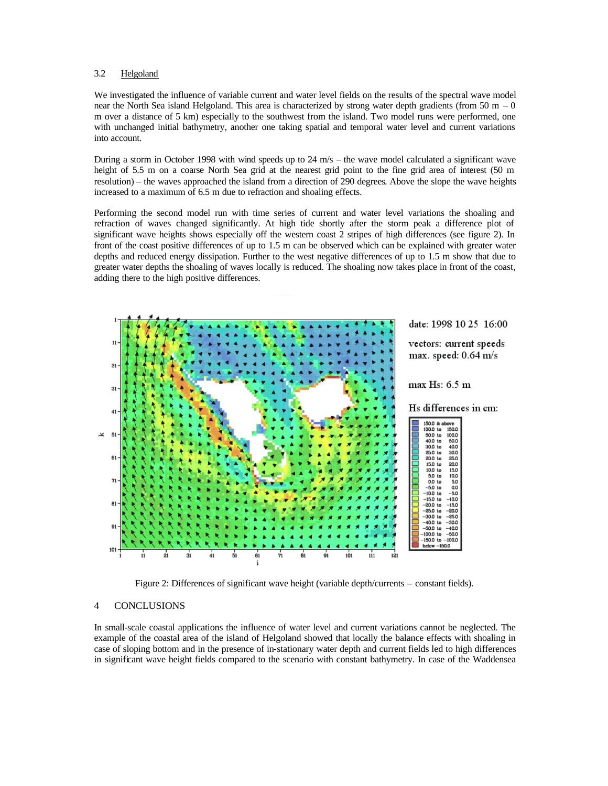#### 3.2 Helgoland

We investigated the influence of variable current and water level fields on the results of the spectral wave model near the North Sea island Helgoland. This area is characterized by strong water depth gradients (from 50 m – 0 m over a distance of 5 km) especially to the southwest from the island. Two model runs were performed, one with unchanged initial bathymetry, another one taking spatial and temporal water level and current variations into account.

During a storm in October 1998 with wind speeds up to 24 m/s – the wave model calculated a significant wave height of 5.5 m on a coarse North Sea grid at the nearest grid point to the fine grid area of interest (50 m resolution) – the waves approached the island from a direction of 290 degrees. Above the slope the wave heights increased to a maximum of 6.5 m due to refraction and shoaling effects.

Performing the second model run with time series of current and water level variations the shoaling and refraction of waves changed significantly. At high tide shortly after the storm peak a difference plot of significant wave heights shows especially off the western coast 2 stripes of high differences (see figure 2). In front of the coast positive differences of up to 1.5 m can be observed which can be explained with greater water depths and reduced energy dissipation. Further to the west negative differences of up to 1.5 m show that due to greater water depths the shoaling of waves locally is reduced. The shoaling now takes place in front of the coast, adding there to the high positive differences.



Figure 2: Differences of significant wave height (variable depth/currents – constant fields).

#### 4 CONCLUSIONS

In small-scale coastal applications the influence of water level and current variations cannot be neglected. The example of the coastal area of the island of Helgoland showed that locally the balance effects with shoaling in case of sloping bottom and in the presence of in-stationary water depth and current fields led to high differences in significant wave height fields compared to the scenario with constant bathymetry. In case of the Waddensea